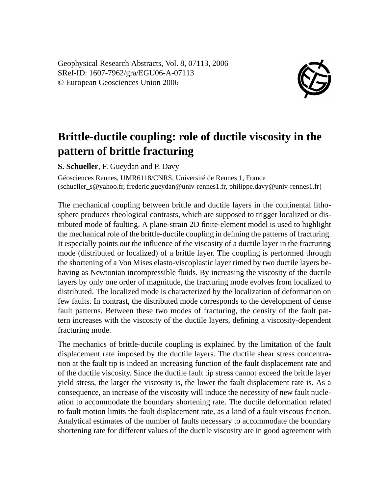Geophysical Research Abstracts, Vol. 8, 07113, 2006 SRef-ID: 1607-7962/gra/EGU06-A-07113 © European Geosciences Union 2006



## **Brittle-ductile coupling: role of ductile viscosity in the pattern of brittle fracturing**

**S. Schueller**, F. Gueydan and P. Davy

Géosciences Rennes, UMR6118/CNRS, Université de Rennes 1, France (schueller\_s@yahoo.fr, frederic.gueydan@univ-rennes1.fr, philippe.davy@univ-rennes1.fr)

The mechanical coupling between brittle and ductile layers in the continental lithosphere produces rheological contrasts, which are supposed to trigger localized or distributed mode of faulting. A plane-strain 2D finite-element model is used to highlight the mechanical role of the brittle-ductile coupling in defining the patterns of fracturing. It especially points out the influence of the viscosity of a ductile layer in the fracturing mode (distributed or localized) of a brittle layer. The coupling is performed through the shortening of a Von Mises elasto-viscoplastic layer rimed by two ductile layers behaving as Newtonian incompressible fluids. By increasing the viscosity of the ductile layers by only one order of magnitude, the fracturing mode evolves from localized to distributed. The localized mode is characterized by the localization of deformation on few faults. In contrast, the distributed mode corresponds to the development of dense fault patterns. Between these two modes of fracturing, the density of the fault pattern increases with the viscosity of the ductile layers, defining a viscosity-dependent fracturing mode.

The mechanics of brittle-ductile coupling is explained by the limitation of the fault displacement rate imposed by the ductile layers. The ductile shear stress concentration at the fault tip is indeed an increasing function of the fault displacement rate and of the ductile viscosity. Since the ductile fault tip stress cannot exceed the brittle layer yield stress, the larger the viscosity is, the lower the fault displacement rate is. As a consequence, an increase of the viscosity will induce the necessity of new fault nucleation to accommodate the boundary shortening rate. The ductile deformation related to fault motion limits the fault displacement rate, as a kind of a fault viscous friction. Analytical estimates of the number of faults necessary to accommodate the boundary shortening rate for different values of the ductile viscosity are in good agreement with